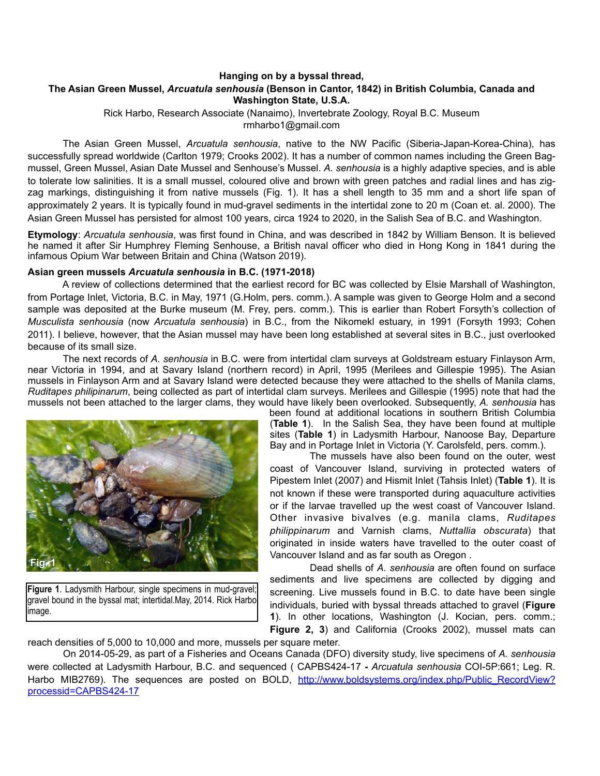# **Hanging on by a byssal thread, The Asian Green Mussel,** *Arcuatula senhousia* **(Benson in Cantor, 1842) in British Columbia, Canada and Washington State, U.S.A.**

Rick Harbo, Research Associate (Nanaimo), Invertebrate Zoology, Royal B.C. Museum rmharbo1@gmail.com

 The Asian Green Mussel, *Arcuatula senhousia*, native to the NW Pacific (Siberia-Japan-Korea-China), has successfully spread worldwide (Carlton 1979; Crooks 2002). It has a number of common names including the Green Bagmussel, Green Mussel, Asian Date Mussel and Senhouse's Mussel. *A. senhousia* is a highly adaptive species, and is able to tolerate low salinities. It is a small mussel, coloured olive and brown with green patches and radial lines and has zigzag markings, distinguishing it from native mussels (Fig. 1). It has a shell length to 35 mm and a short life span of approximately 2 years. It is typically found in mud-gravel sediments in the intertidal zone to 20 m (Coan et. al. 2000). The Asian Green Mussel has persisted for almost 100 years, circa 1924 to 2020, in the Salish Sea of B.C. and Washington.

**Etymology**: *Arcuatula senhousia*, was first found in China, and was described in 1842 by William Benson. It is believed he named it after Sir Humphrey Fleming Senhouse, a British naval officer who died in Hong Kong in 1841 during the infamous Opium War between Britain and China (Watson 2019).

### **Asian green mussels** *Arcuatula senhousia* **in B.C. (1971-2018)**

 A review of collections determined that the earliest record for BC was collected by Elsie Marshall of Washington, from Portage Inlet, Victoria, B.C. in May, 1971 (G.Holm, pers. comm.). A sample was given to George Holm and a second sample was deposited at the Burke museum (M. Frey, pers. comm.). This is earlier than Robert Forsyth's collection of *Musculista senhousia* (now *Arcuatula senhousia*) in B.C., from the Nikomekl estuary, in 1991 (Forsyth 1993; Cohen 2011). I believe, however, that the Asian mussel may have been long established at several sites in B.C., just overlooked because of its small size.

 The next records of *A. senhousia* in B.C. were from intertidal clam surveys at Goldstream estuary Finlayson Arm, near Victoria in 1994, and at Savary Island (northern record) in April, 1995 (Merilees and Gillespie 1995). The Asian mussels in Finlayson Arm and at Savary Island were detected because they were attached to the shells of Manila clams, *Ruditapes philipinarum*, being collected as part of intertidal clam surveys. Merilees and Gillespie (1995) note that had the mussels not been attached to the larger clams, they would have likely been overlooked. Subsequently, *A. senhousia* has



**Figure 1**. Ladysmith Harbour, single specimens in mud-gravel; gravel bound in the byssal mat; intertidal.May, 2014. Rick Harbo image.

been found at additional locations in southern British Columbia (**Table 1**). In the Salish Sea, they have been found at multiple sites (**Table 1**) in Ladysmith Harbour, Nanoose Bay, Departure Bay and in Portage Inlet in Victoria (Y. Carolsfeld, pers. comm.).

 The mussels have also been found on the outer, west coast of Vancouver Island, surviving in protected waters of Pipestem Inlet (2007) and Hismit Inlet (Tahsis Inlet) (**Table 1**). It is not known if these were transported during aquaculture activities or if the larvae travelled up the west coast of Vancouver Island. Other invasive bivalves (e.g. manila clams, *Ruditapes philippinarum* and Varnish clams, *Nuttallia obscurata*) that originated in inside waters have travelled to the outer coast of Vancouver Island and as far south as Oregon .

 Dead shells of *A. senhousia* are often found on surface sediments and live specimens are collected by digging and screening. Live mussels found in B.C. to date have been single individuals, buried with byssal threads attached to gravel (**Figure 1**). In other locations, Washington (J. Kocian, pers. comm.; **Figure 2, 3**) and California (Crooks 2002), mussel mats can

reach densities of 5,000 to 10,000 and more, mussels per square meter.

 On 2014-05-29, as part of a Fisheries and Oceans Canada (DFO) diversity study, live specimens of *A. senhousia* were collected at Ladysmith Harbour, B.C. and sequenced ( CAPBS424-17 **-** *Arcuatula senhousia* COI-5P:661; Leg. R. Harbo MIB2769). The sequences are posted on BOLD, [http://www.boldsystems.org/index.php/Public\\_RecordView?](http://www.boldsystems.org/index.php/Public_RecordView?processid=CAPBS424-17) [processid=CAPBS424-17](http://www.boldsystems.org/index.php/Public_RecordView?processid=CAPBS424-17)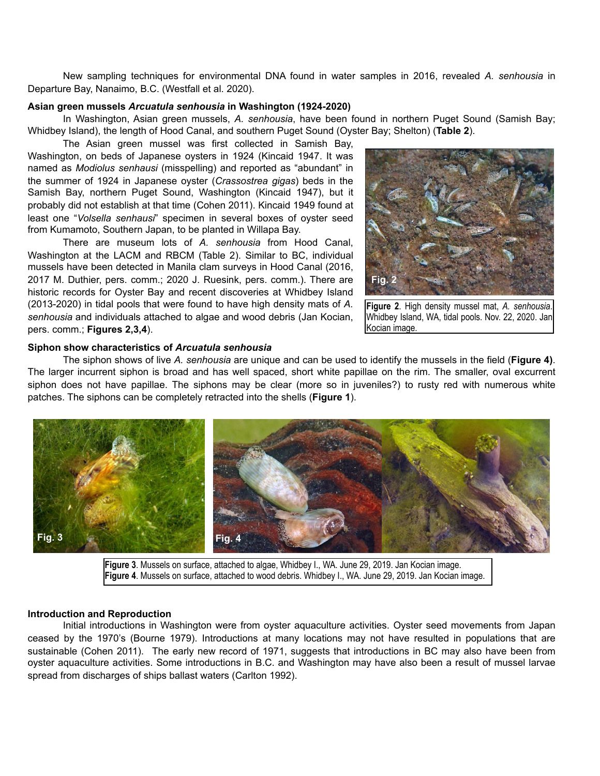New sampling techniques for environmental DNA found in water samples in 2016, revealed *A. senhousia* in Departure Bay, Nanaimo, B.C. (Westfall et al. 2020).

### **Asian green mussels** *Arcuatula senhousia* **in Washington (1924-2020)**

In Washington, Asian green mussels, *A. senhousia*, have been found in northern Puget Sound (Samish Bay; Whidbey Island), the length of Hood Canal, and southern Puget Sound (Oyster Bay; Shelton) (**Table 2**).

 The Asian green mussel was first collected in Samish Bay, Washington, on beds of Japanese oysters in 1924 (Kincaid 1947. It was named as *Modiolus senhausi* (misspelling) and reported as "abundant" in the summer of 1924 in Japanese oyster (*Crassostrea gigas*) beds in the Samish Bay, northern Puget Sound, Washington (Kincaid 1947), but it probably did not establish at that time (Cohen 2011). Kincaid 1949 found at least one "*Volsella senhausi*" specimen in several boxes of oyster seed from Kumamoto, Southern Japan, to be planted in Willapa Bay.

 There are museum lots of *A. senhousia* from Hood Canal, Washington at the LACM and RBCM (Table 2). Similar to BC, individual mussels have been detected in Manila clam surveys in Hood Canal (2016, 2017 M. Duthier, pers. comm.; 2020 J. Ruesink, pers. comm.). There are historic records for Oyster Bay and recent discoveries at Whidbey Island (2013-2020) in tidal pools that were found to have high density mats of *A. senhousia* and individuals attached to algae and wood debris (Jan Kocian, pers. comm.; **Figures 2,3,4**).



**Figure 2**. High density mussel mat, *A. senhousia*. Whidbey Island, WA, tidal pools. Nov. 22, 2020. Jan Kocian image.

# **Siphon show characteristics of** *Arcuatula senhousia*

The siphon shows of live *A. senhousia* are unique and can be used to identify the mussels in the field (**Figure 4)**. The larger incurrent siphon is broad and has well spaced, short white papillae on the rim. The smaller, oval excurrent siphon does not have papillae. The siphons may be clear (more so in juveniles?) to rusty red with numerous white patches. The siphons can be completely retracted into the shells (**Figure 1**).



**Figure 3**. Mussels on surface, attached to algae, Whidbey I., WA. June 29, 2019. Jan Kocian image. **Figure 4**. Mussels on surface, attached to wood debris. Whidbey I., WA. June 29, 2019. Jan Kocian image.

#### **Introduction and Reproduction**

Initial introductions in Washington were from oyster aquaculture activities. Oyster seed movements from Japan ceased by the 1970's (Bourne 1979). Introductions at many locations may not have resulted in populations that are sustainable (Cohen 2011). The early new record of 1971, suggests that introductions in BC may also have been from oyster aquaculture activities. Some introductions in B.C. and Washington may have also been a result of mussel larvae spread from discharges of ships ballast waters (Carlton 1992).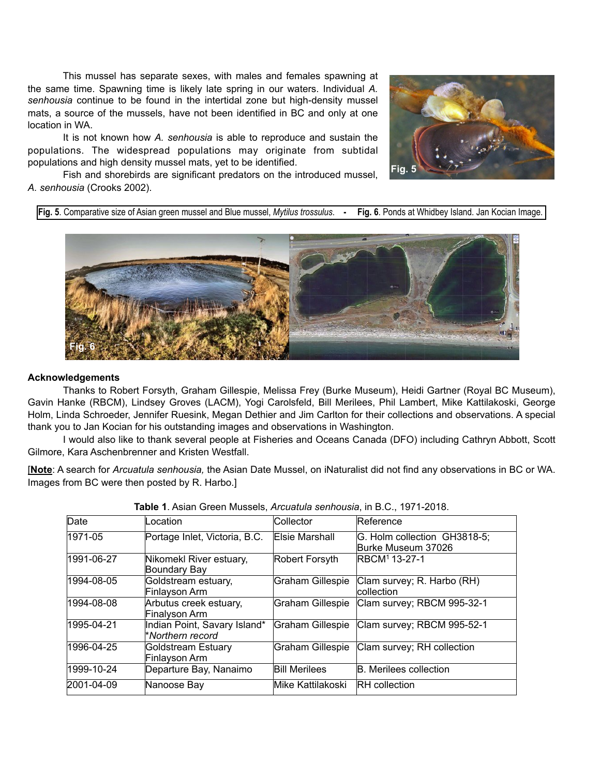This mussel has separate sexes, with males and females spawning at the same time. Spawning time is likely late spring in our waters. Individual *A. senhousia* continue to be found in the intertidal zone but high-density mussel mats, a source of the mussels, have not been identified in BC and only at one location in WA.

It is not known how *A. senhousia* is able to reproduce and sustain the populations. The widespread populations may originate from subtidal populations and high density mussel mats, yet to be identified.



Fish and shorebirds are significant predators on the introduced mussel, *A. senhousia* (Crooks 2002).

**Fig. 5**. Comparative size of Asian green mussel and Blue mussel, *Mytilus trossulus*. **- Fig. 6**. Ponds at Whidbey Island. Jan Kocian Image.



# **Acknowledgements**

Thanks to Robert Forsyth, Graham Gillespie, Melissa Frey (Burke Museum), Heidi Gartner (Royal BC Museum), Gavin Hanke (RBCM), Lindsey Groves (LACM), Yogi Carolsfeld, Bill Merilees, Phil Lambert, Mike Kattilakoski, George Holm, Linda Schroeder, Jennifer Ruesink, Megan Dethier and Jim Carlton for their collections and observations. A special thank you to Jan Kocian for his outstanding images and observations in Washington.

 I would also like to thank several people at Fisheries and Oceans Canada (DFO) including Cathryn Abbott, Scott Gilmore, Kara Aschenbrenner and Kristen Westfall.

[**Note**: A search for *Arcuatula senhousia,* the Asian Date Mussel, on iNaturalist did not find any observations in BC or WA. Images from BC were then posted by R. Harbo.]

| Date       | Location                                         | Collector            | Reference                                          |
|------------|--------------------------------------------------|----------------------|----------------------------------------------------|
| 1971-05    | Portage Inlet, Victoria, B.C.                    | Elsie Marshall       | G. Holm collection GH3818-5;<br>Burke Museum 37026 |
| 1991-06-27 | Nikomekl River estuary,<br>Boundary Bay          | Robert Forsyth       | RBCM <sup>1</sup> 13-27-1                          |
| 1994-08-05 | Goldstream estuary,<br>Finlayson Arm             | Graham Gillespie     | Clam survey; R. Harbo (RH)<br>collection           |
| 1994-08-08 | Arbutus creek estuary,<br>Finalyson Arm          | Graham Gillespie     | Clam survey; RBCM 995-32-1                         |
| 1995-04-21 | Indian Point, Savary Island*<br>*Northern record | Graham Gillespie     | Clam survey; RBCM 995-52-1                         |
| 1996-04-25 | Goldstream Estuary<br>Finlayson Arm              | Graham Gillespie     | Clam survey; RH collection                         |
| 1999-10-24 | Departure Bay, Nanaimo                           | <b>Bill Merilees</b> | <b>B.</b> Merilees collection                      |
| 2001-04-09 | Nanoose Bay                                      | Mike Kattilakoski    | <b>RH</b> collection                               |

| Table 1. Asian Green Mussels, Arcuatula senhousia, in B.C., 1971-2018. |  |  |  |
|------------------------------------------------------------------------|--|--|--|
|------------------------------------------------------------------------|--|--|--|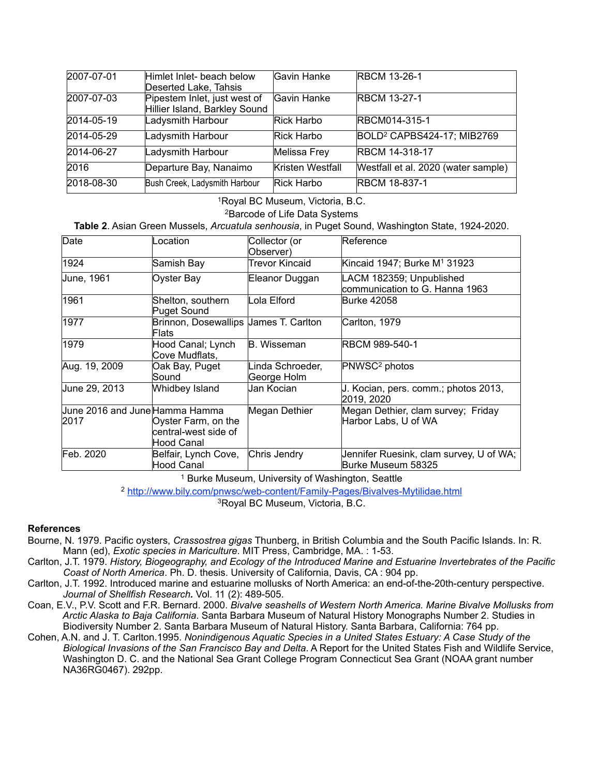| 2007-07-01 | Himlet Inlet- beach below     | Gavin Hanke      | <b>RBCM 13-26-1</b>                    |
|------------|-------------------------------|------------------|----------------------------------------|
|            | Deserted Lake, Tahsis         |                  |                                        |
| 2007-07-03 | Pipestem Inlet, just west of  | Gavin Hanke      | <b>RBCM 13-27-1</b>                    |
|            | Hillier Island, Barkley Sound |                  |                                        |
| 2014-05-19 | Ladysmith Harbour             | Rick Harbo       | RBCM014-315-1                          |
| 2014-05-29 | Ladysmith Harbour             | Rick Harbo       | BOLD <sup>2</sup> CAPBS424-17; MIB2769 |
| 2014-06-27 | Ladysmith Harbour             | Melissa Frey     | <b>RBCM 14-318-17</b>                  |
| 2016       | Departure Bay, Nanaimo        | Kristen Westfall | Westfall et al. 2020 (water sample)    |
| 2018-08-30 | Bush Creek, Ladysmith Harbour | Rick Harbo       | <b>RBCM 18-837-1</b>                   |

1Royal BC Museum, Victoria, B.C.

2Barcode of Life Data Systems

**Table 2**. Asian Green Mussels, *Arcuatula senhousia*, in Puget Sound, Washington State, 1924-2020.

| Date                                   | Location                                                  | Collector (or<br>Observer)      | Reference                                                     |
|----------------------------------------|-----------------------------------------------------------|---------------------------------|---------------------------------------------------------------|
| 1924                                   | Samish Bay                                                | Trevor Kincaid                  | Kincaid 1947; Burke M <sup>1</sup> 31923                      |
| June, 1961                             | Oyster Bay                                                | Eleanor Duggan                  | LACM 182359; Unpublished<br>communication to G. Hanna 1963    |
| 1961                                   | Shelton, southern<br>Puget Sound                          | Lola Elford                     | Burke 42058                                                   |
| 1977                                   | Brinnon, Dosewallips James T. Carlton<br>Flats            |                                 | Carlton, 1979                                                 |
| 1979                                   | Hood Canal; Lynch<br>Cove Mudflats,                       | <b>B.</b> Wisseman              | RBCM 989-540-1                                                |
| Aug. 19, 2009                          | Oak Bay, Puget<br>Sound                                   | Linda Schroeder,<br>George Holm | PNWSC <sup>2</sup> photos                                     |
| June 29, 2013                          | Whidbey Island                                            | Jan Kocian                      | J. Kocian, pers. comm.; photos 2013,<br>2019, 2020            |
| June 2016 and June Hamma Hamma<br>2017 | Oyster Farm, on the<br>central-west side of<br>Hood Canal | Megan Dethier                   | Megan Dethier, clam survey; Friday<br>Harbor Labs, U of WA    |
| Feb. 2020                              | Belfair, Lynch Cove,<br>Hood Canal                        | Chris Jendry                    | Jennifer Ruesink, clam survey, U of WA;<br>Burke Museum 58325 |

<sup>1</sup> Burke Museum, University of Washington, Seattle

<sup>2</sup> http://www.bily.com/pnwsc/web-content/Family-Pages/Bivalves-Mytilidae.html

3Royal BC Museum, Victoria, B.C.

# **References**

- Bourne, N. 1979. Pacific oysters, *Crassostrea gigas* Thunberg, in British Columbia and the South Pacific Islands. In: R. Mann (ed), *Exotic species in Mariculture*. MIT Press, Cambridge, MA. : 1-53.
- Carlton, J.T. 1979. *History, Biogeography, and Ecology of the Introduced Marine and Estuarine Invertebrates of the Pacific Coast of North America*. Ph. D. thesis. University of California, Davis, CA : 904 pp.
- Carlton, J.T. 1992. Introduced marine and estuarine mollusks of North America: an end-of-the-20th-century perspective. *Journal of Shellfish Research.* Vol. 11 (2): 489-505.
- Coan, E.V., P.V. Scott and F.R. Bernard. 2000. *Bivalve seashells of Western North America. Marine Bivalve Mollusks from Arctic Alaska to Baja California*. Santa Barbara Museum of Natural History Monographs Number 2. Studies in Biodiversity Number 2. Santa Barbara Museum of Natural History. Santa Barbara, California: 764 pp.
- Cohen, A.N. and J. T. Carlton.1995. *Nonindigenous Aquatic Species in a United States Estuary: A Case Study of the Biological Invasions of the San Francisco Bay and Delta*. A Report for the United States Fish and Wildlife Service, Washington D. C. and the National Sea Grant College Program Connecticut Sea Grant (NOAA grant number NA36RG0467). 292pp.